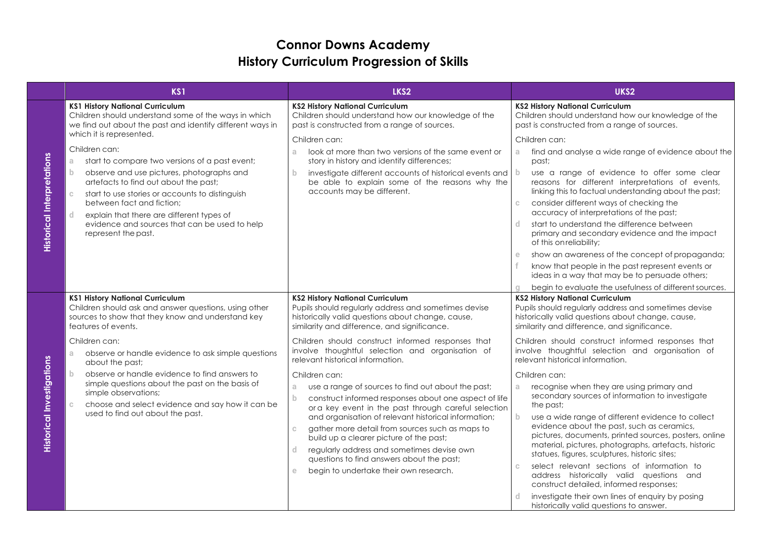## **Connor Downs Academy History Curriculum Progression of Skills**

|                                   | KS1                                                                                                                                                                                                                                                                                                                                                                                                                                                                                                                 | LKS2                                                                                                                                                                                                                                                                                                                                                                                                                                                                                                                                                                                                        | UKS <sub>2</sub>                                                                                                                                                                                                                                                                                                                                                                                                                                                                                                                                                                                                                                                                                 |
|-----------------------------------|---------------------------------------------------------------------------------------------------------------------------------------------------------------------------------------------------------------------------------------------------------------------------------------------------------------------------------------------------------------------------------------------------------------------------------------------------------------------------------------------------------------------|-------------------------------------------------------------------------------------------------------------------------------------------------------------------------------------------------------------------------------------------------------------------------------------------------------------------------------------------------------------------------------------------------------------------------------------------------------------------------------------------------------------------------------------------------------------------------------------------------------------|--------------------------------------------------------------------------------------------------------------------------------------------------------------------------------------------------------------------------------------------------------------------------------------------------------------------------------------------------------------------------------------------------------------------------------------------------------------------------------------------------------------------------------------------------------------------------------------------------------------------------------------------------------------------------------------------------|
|                                   | <b>KS1 History National Curriculum</b><br>Children should understand some of the ways in which<br>we find out about the past and identify different ways in<br>which it is represented.                                                                                                                                                                                                                                                                                                                             | <b>KS2 History National Curriculum</b><br>Children should understand how our knowledge of the<br>past is constructed from a range of sources.                                                                                                                                                                                                                                                                                                                                                                                                                                                               | <b>KS2 History National Curriculum</b><br>Children should understand how our knowledge of the<br>past is constructed from a range of sources.<br>Children can:                                                                                                                                                                                                                                                                                                                                                                                                                                                                                                                                   |
| <b>Historical Interpretations</b> | Children can:<br>start to compare two versions of a past event;<br>a<br>$\mathbf b$<br>observe and use pictures, photographs and<br>artefacts to find out about the past;<br>$\mathbb C$<br>start to use stories or accounts to distinguish<br>between fact and fiction;<br>d<br>explain that there are different types of<br>evidence and sources that can be used to help<br>represent the past.                                                                                                                  | Children can:<br>look at more than two versions of the same event or<br>a.<br>story in history and identify differences;<br>investigate different accounts of historical events and<br>$\mathbf b$<br>be able to explain some of the reasons why the<br>accounts may be different.                                                                                                                                                                                                                                                                                                                          | find and analyse a wide range of evidence about the<br>a<br>past;<br>use a range of evidence to offer some clear<br>b<br>reasons for different interpretations of events,<br>linking this to factual understanding about the past;<br>consider different ways of checking the<br>$\mathbb C$<br>accuracy of interpretations of the past;<br>start to understand the difference between<br>d.<br>primary and secondary evidence and the impact<br>of this on reliability;<br>show an awareness of the concept of propaganda;<br>e<br>know that people in the past represent events or<br>ideas in a way that may be to persuade others;<br>begin to evaluate the usefulness of different sources. |
| <b>Historical Investigations</b>  | <b>KS1 History National Curriculum</b><br>Children should ask and answer questions, using other<br>sources to show that they know and understand key<br>features of events.<br>Children can:<br>observe or handle evidence to ask simple questions<br>a.<br>about the past;<br>$\mathbf b$<br>observe or handle evidence to find answers to<br>simple questions about the past on the basis of<br>simple observations;<br>choose and select evidence and say how it can be<br>c<br>used to find out about the past. | <b>KS2 History National Curriculum</b><br>Pupils should regularly address and sometimes devise<br>historically valid questions about change, cause,<br>similarity and difference, and significance.<br>Children should construct informed responses that<br>involve thoughtful selection and organisation of<br>relevant historical information.<br>Children can:<br>use a range of sources to find out about the past;<br>a.<br>construct informed responses about one aspect of life<br>b.<br>ora key event in the past through careful selection<br>and organisation of relevant historical information; | <b>KS2 History National Curriculum</b><br>Pupils should regularly address and sometimes devise<br>historically valid questions about change, cause,<br>similarity and difference, and significance.<br>Children should construct informed responses that<br>involve thoughtful selection and organisation of<br>relevant historical information.<br>Children can:<br>recognise when they are using primary and<br>a<br>secondary sources of information to investigate<br>the past;<br>$\mathbf{b}$<br>use a wide range of different evidence to collect                                                                                                                                         |
|                                   |                                                                                                                                                                                                                                                                                                                                                                                                                                                                                                                     | gather more detail from sources such as maps to<br>$\mathbb{C}$<br>build up a clearer picture of the past;<br>regularly address and sometimes devise own<br>questions to find answers about the past;<br>begin to undertake their own research.<br>e                                                                                                                                                                                                                                                                                                                                                        | evidence about the past, such as ceramics,<br>pictures, documents, printed sources, posters, online<br>material, pictures, photographs, artefacts, historic<br>statues, figures, sculptures, historic sites;<br>select relevant sections of information to<br>$\mathbb C$<br>address historically valid questions and<br>construct detailed, informed responses;<br>investigate their own lines of enquiry by posing<br>historically valid questions to answer.                                                                                                                                                                                                                                  |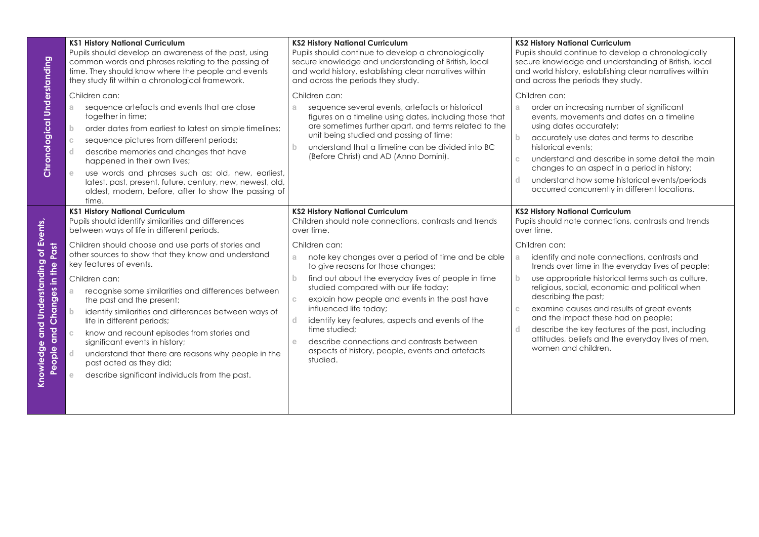| Chronological Understanding                                                      | <b>KS1 History National Curriculum</b><br>Pupils should develop an awareness of the past, using<br>common words and phrases relating to the passing of<br>time. They should know where the people and events<br>they study fit within a chronological framework.<br>Children can:<br>sequence artefacts and events that are close<br>a.<br>together in time;<br>$\mathbf b$<br>order dates from earliest to latest on simple timelines;<br>sequence pictures from different periods;<br>$\mathbb{C}$<br>describe memories and changes that have<br>d.<br>happened in their own lives;<br>use words and phrases such as: old, new, earliest,<br>e.<br>latest, past, present, future, century, new, newest, old,<br>oldest, modern, before, after to show the passing of<br>time. | <b>KS2 History National Curriculum</b><br>Pupils should continue to develop a chronologically<br>secure knowledge and understanding of British, local<br>and world history, establishing clear narratives within<br>and across the periods they study.<br>Children can:<br>sequence several events, artefacts or historical<br>a.<br>figures on a timeline using dates, including those that<br>are sometimes further apart, and terms related to the<br>unit being studied and passing of time;<br>understand that a timeline can be divided into BC<br>(Before Christ) and AD (Anno Domini).                                              | <b>KS2 History National Curriculum</b><br>Pupils should continue to develop a chronologically<br>secure knowledge and understanding of British, local<br>and world history, establishing clear narratives within<br>and across the periods they study.<br>Children can:<br>order an increasing number of significant<br>$a -$<br>events, movements and dates on a timeline<br>using dates accurately;<br>$\mathbf{b}$<br>accurately use dates and terms to describe<br>historical events:<br>understand and describe in some detail the main<br>$\mathbb{C}$<br>changes to an aspect in a period in history;<br>understand how some historical events/periods<br>d.<br>occurred concurrently in different locations. |
|----------------------------------------------------------------------------------|---------------------------------------------------------------------------------------------------------------------------------------------------------------------------------------------------------------------------------------------------------------------------------------------------------------------------------------------------------------------------------------------------------------------------------------------------------------------------------------------------------------------------------------------------------------------------------------------------------------------------------------------------------------------------------------------------------------------------------------------------------------------------------|---------------------------------------------------------------------------------------------------------------------------------------------------------------------------------------------------------------------------------------------------------------------------------------------------------------------------------------------------------------------------------------------------------------------------------------------------------------------------------------------------------------------------------------------------------------------------------------------------------------------------------------------|----------------------------------------------------------------------------------------------------------------------------------------------------------------------------------------------------------------------------------------------------------------------------------------------------------------------------------------------------------------------------------------------------------------------------------------------------------------------------------------------------------------------------------------------------------------------------------------------------------------------------------------------------------------------------------------------------------------------|
| Knowledge and Understanding of Events,<br>Past<br>Changes in the<br>and<br>eople | <b>KS1 History National Curriculum</b><br>Pupils should identify similarities and differences<br>between ways of life in different periods.<br>Children should choose and use parts of stories and<br>other sources to show that they know and understand<br>key features of events.<br>Children can:<br>recognise some similarities and differences between<br>a.<br>the past and the present;<br>identify similarities and differences between ways of<br>b.<br>life in different periods;<br>know and recount episodes from stories and<br>$\mathbb{C}$<br>significant events in history;<br>d.<br>understand that there are reasons why people in the<br>past acted as they did;<br>describe significant individuals from the past.<br>e.                                   | <b>KS2 History National Curriculum</b><br>Children should note connections, contrasts and trends<br>over time.<br>Children can:<br>note key changes over a period of time and be able<br>a<br>to give reasons for those changes;<br>find out about the everyday lives of people in time<br>$\mathbf{b}$<br>studied compared with our life today;<br>explain how people and events in the past have<br>C.<br>influenced life today;<br>identify key features, aspects and events of the<br>d.<br>time studied;<br>describe connections and contrasts between<br>$\mathbf{e}$<br>aspects of history, people, events and artefacts<br>studied. | <b>KS2 History National Curriculum</b><br>Pupils should note connections, contrasts and trends<br>over time.<br>Children can:<br>identify and note connections, contrasts and<br>a.<br>trends over time in the everyday lives of people;<br>$\mathbf{b}$<br>use appropriate historical terms such as culture,<br>religious, social, economic and political when<br>describing the past;<br>examine causes and results of great events<br>$\mathbb{C}$<br>and the impact these had on people;<br>describe the key features of the past, including<br>d.<br>attitudes, beliefs and the everyday lives of men,<br>women and children.                                                                                   |